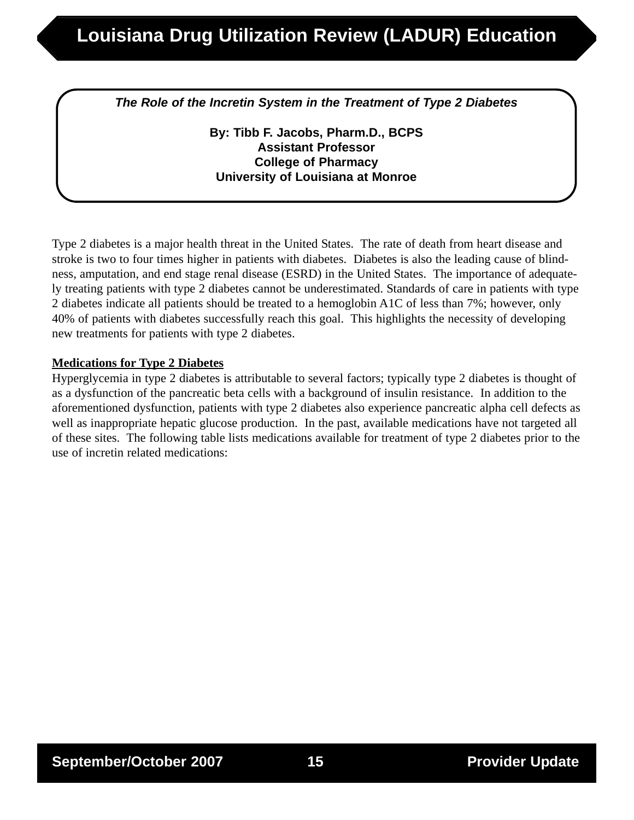*The Role of the Incretin System in the Treatment of Type 2 Diabetes*

**By: Tibb F. Jacobs, Pharm.D., BCPS Assistant Professor College of Pharmacy University of Louisiana at Monroe**

Type 2 diabetes is a major health threat in the United States. The rate of death from heart disease and stroke is two to four times higher in patients with diabetes. Diabetes is also the leading cause of blindness, amputation, and end stage renal disease (ESRD) in the United States. The importance of adequately treating patients with type 2 diabetes cannot be underestimated. Standards of care in patients with type 2 diabetes indicate all patients should be treated to a hemoglobin A1C of less than 7%; however, only 40% of patients with diabetes successfully reach this goal. This highlights the necessity of developing new treatments for patients with type 2 diabetes.

### **Medications for Type 2 Diabetes**

Hyperglycemia in type 2 diabetes is attributable to several factors; typically type 2 diabetes is thought of as a dysfunction of the pancreatic beta cells with a background of insulin resistance. In addition to the aforementioned dysfunction, patients with type 2 diabetes also experience pancreatic alpha cell defects as well as inappropriate hepatic glucose production. In the past, available medications have not targeted all of these sites. The following table lists medications available for treatment of type 2 diabetes prior to the use of incretin related medications: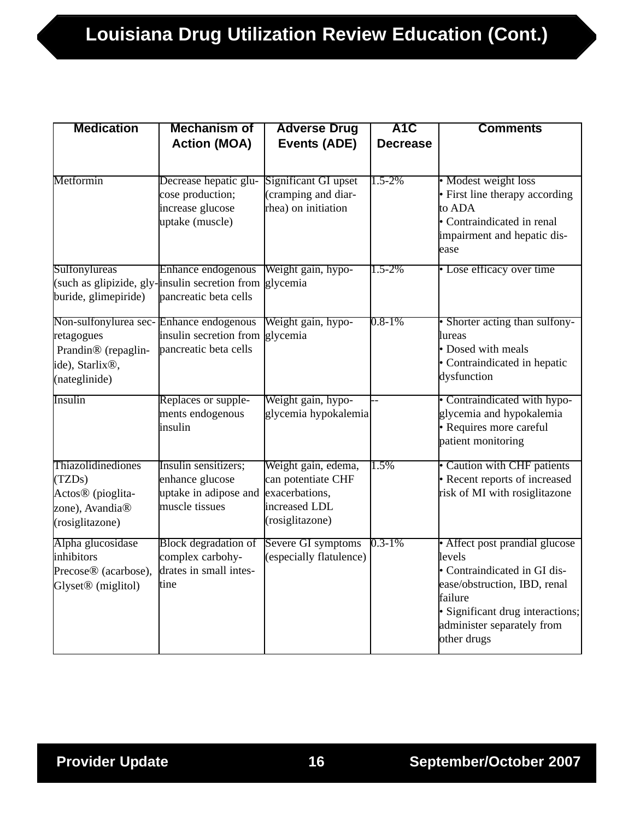| <b>Medication</b>                                                                                                                         | <b>Mechanism of</b>                                                                | <b>Adverse Drug</b>                                                                             | A <sub>1</sub> C | <b>Comments</b>                                                                                                                                                                                      |
|-------------------------------------------------------------------------------------------------------------------------------------------|------------------------------------------------------------------------------------|-------------------------------------------------------------------------------------------------|------------------|------------------------------------------------------------------------------------------------------------------------------------------------------------------------------------------------------|
|                                                                                                                                           | <b>Action (MOA)</b>                                                                | Events (ADE)                                                                                    | <b>Decrease</b>  |                                                                                                                                                                                                      |
|                                                                                                                                           |                                                                                    |                                                                                                 |                  |                                                                                                                                                                                                      |
| Metformin                                                                                                                                 | Decrease hepatic glu-<br>cose production;<br>increase glucose<br>uptake (muscle)   | Significant GI upset<br>(cramping and diar-<br>rhea) on initiation                              | $1.5 - 2\%$      | • Modest weight loss<br>• First line therapy according<br>to ADA<br>• Contraindicated in renal<br>impairment and hepatic dis-<br>ease                                                                |
| Sulfonylureas<br>(such as glipizide, gly-insulin secretion from glycemia<br>buride, glimepiride)                                          | Enhance endogenous<br>pancreatic beta cells                                        | Weight gain, hypo-                                                                              | $1.5 - 2\%$      | • Lose efficacy over time                                                                                                                                                                            |
| Non-sulfonylurea sec-Enhance endogenous<br>retagogues<br>Prandin <sup>®</sup> (repaglin-<br>ide), Starlix <sup>®</sup> ,<br>(nateglinide) | insulin secretion from<br>pancreatic beta cells                                    | Weight gain, hypo-<br>glycemia                                                                  | $0.8 - 1\%$      | • Shorter acting than sulfony-<br>lureas<br>$\bullet$ Dosed with meals<br>• Contraindicated in hepatic<br>dysfunction                                                                                |
| Insulin                                                                                                                                   | Replaces or supple-<br>ments endogenous<br>insulin                                 | Weight gain, hypo-<br>glycemia hypokalemia                                                      |                  | • Contraindicated with hypo-<br>glycemia and hypokalemia<br>· Requires more careful<br>patient monitoring                                                                                            |
| Thiazolidinediones<br>(TZDs)<br>Actos <sup>®</sup> (pioglita-<br>zone), Avandia <sup>®</sup><br>(rosiglitazone)                           | Insulin sensitizers;<br>enhance glucose<br>uptake in adipose and<br>muscle tissues | Weight gain, edema,<br>can potentiate CHF<br>exacerbations,<br>increased LDL<br>(rosiglitazone) | 1.5%             | • Caution with CHF patients<br>• Recent reports of increased<br>risk of MI with rosiglitazone                                                                                                        |
| Alpha glucosidase<br>inhibitors<br>Precose <sup>®</sup> (acarbose),<br>Glyset <sup>®</sup> (miglitol)                                     | <b>Block</b> degradation of<br>complex carbohy-<br>drates in small intes-<br>tine  | Severe GI symptoms<br>(especially flatulence)                                                   | $0.3 - 1\%$      | • Affect post prandial glucose<br>levels<br>• Contraindicated in GI dis-<br>ease/obstruction, IBD, renal<br>failure<br>· Significant drug interactions;<br>administer separately from<br>other drugs |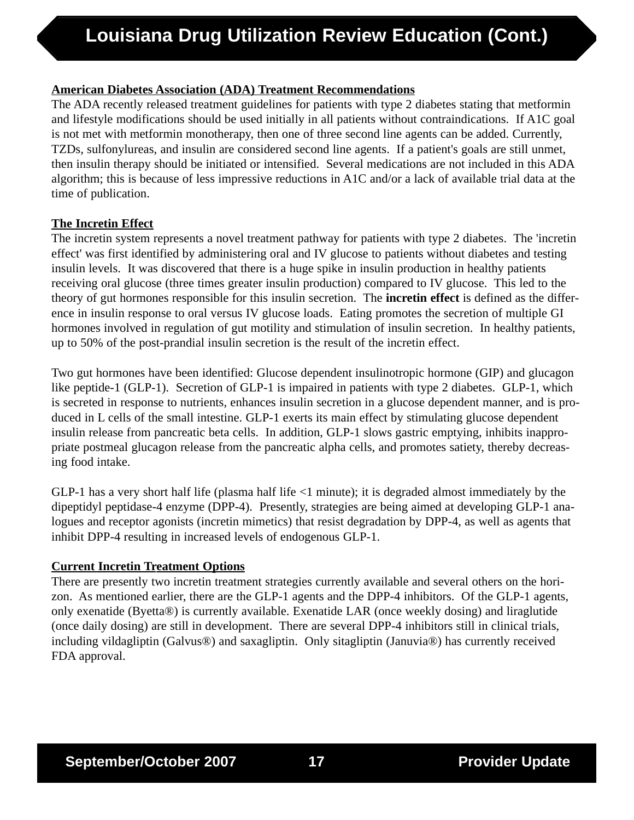# **American Diabetes Association (ADA) Treatment Recommendations**

The ADA recently released treatment guidelines for patients with type 2 diabetes stating that metformin and lifestyle modifications should be used initially in all patients without contraindications. If A1C goal is not met with metformin monotherapy, then one of three second line agents can be added. Currently, TZDs, sulfonylureas, and insulin are considered second line agents. If a patient's goals are still unmet, then insulin therapy should be initiated or intensified. Several medications are not included in this ADA algorithm; this is because of less impressive reductions in A1C and/or a lack of available trial data at the time of publication.

### **The Incretin Effect**

The incretin system represents a novel treatment pathway for patients with type 2 diabetes. The 'incretin effect' was first identified by administering oral and IV glucose to patients without diabetes and testing insulin levels. It was discovered that there is a huge spike in insulin production in healthy patients receiving oral glucose (three times greater insulin production) compared to IV glucose. This led to the theory of gut hormones responsible for this insulin secretion. The **incretin effect** is defined as the difference in insulin response to oral versus IV glucose loads. Eating promotes the secretion of multiple GI hormones involved in regulation of gut motility and stimulation of insulin secretion. In healthy patients, up to 50% of the post-prandial insulin secretion is the result of the incretin effect.

Two gut hormones have been identified: Glucose dependent insulinotropic hormone (GIP) and glucagon like peptide-1 (GLP-1). Secretion of GLP-1 is impaired in patients with type 2 diabetes. GLP-1, which is secreted in response to nutrients, enhances insulin secretion in a glucose dependent manner, and is produced in L cells of the small intestine. GLP-1 exerts its main effect by stimulating glucose dependent insulin release from pancreatic beta cells. In addition, GLP-1 slows gastric emptying, inhibits inappropriate postmeal glucagon release from the pancreatic alpha cells, and promotes satiety, thereby decreasing food intake.

GLP-1 has a very short half life (plasma half life  $\leq$ 1 minute); it is degraded almost immediately by the dipeptidyl peptidase-4 enzyme (DPP-4). Presently, strategies are being aimed at developing GLP-1 analogues and receptor agonists (incretin mimetics) that resist degradation by DPP-4, as well as agents that inhibit DPP-4 resulting in increased levels of endogenous GLP-1.

# **Current Incretin Treatment Options**

There are presently two incretin treatment strategies currently available and several others on the horizon. As mentioned earlier, there are the GLP-1 agents and the DPP-4 inhibitors. Of the GLP-1 agents, only exenatide (Byetta®) is currently available. Exenatide LAR (once weekly dosing) and liraglutide (once daily dosing) are still in development. There are several DPP-4 inhibitors still in clinical trials, including vildagliptin (Galvus®) and saxagliptin. Only sitagliptin (Januvia®) has currently received FDA approval.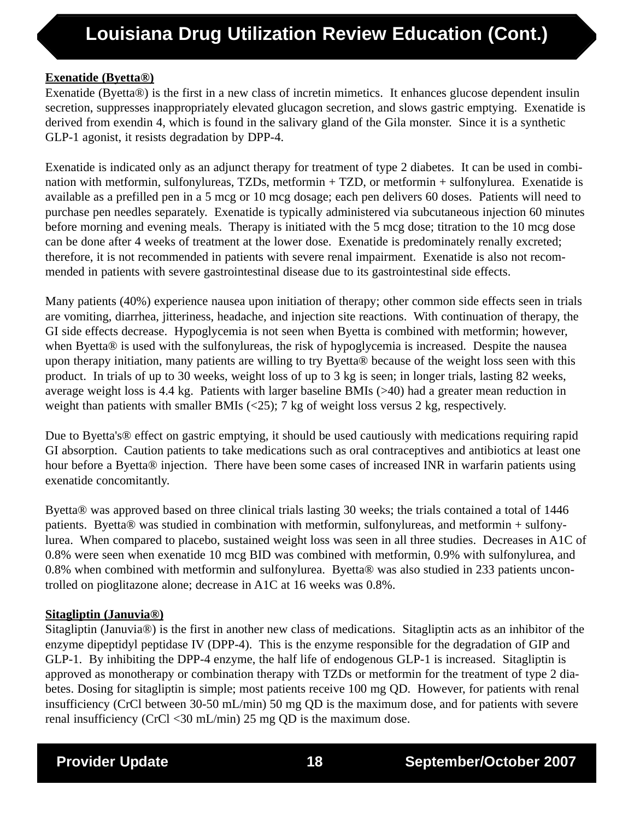# **Exenatide (Byetta®)**

Exenatide (Byetta®) is the first in a new class of incretin mimetics. It enhances glucose dependent insulin secretion, suppresses inappropriately elevated glucagon secretion, and slows gastric emptying. Exenatide is derived from exendin 4, which is found in the salivary gland of the Gila monster. Since it is a synthetic GLP-1 agonist, it resists degradation by DPP-4.

Exenatide is indicated only as an adjunct therapy for treatment of type 2 diabetes. It can be used in combination with metformin, sulfonylureas, TZDs, metformin + TZD, or metformin + sulfonylurea. Exenatide is available as a prefilled pen in a 5 mcg or 10 mcg dosage; each pen delivers 60 doses. Patients will need to purchase pen needles separately. Exenatide is typically administered via subcutaneous injection 60 minutes before morning and evening meals. Therapy is initiated with the 5 mcg dose; titration to the 10 mcg dose can be done after 4 weeks of treatment at the lower dose. Exenatide is predominately renally excreted; therefore, it is not recommended in patients with severe renal impairment. Exenatide is also not recommended in patients with severe gastrointestinal disease due to its gastrointestinal side effects.

Many patients (40%) experience nausea upon initiation of therapy; other common side effects seen in trials are vomiting, diarrhea, jitteriness, headache, and injection site reactions. With continuation of therapy, the GI side effects decrease. Hypoglycemia is not seen when Byetta is combined with metformin; however, when Byetta® is used with the sulfonylureas, the risk of hypoglycemia is increased. Despite the nausea upon therapy initiation, many patients are willing to try Byetta® because of the weight loss seen with this product. In trials of up to 30 weeks, weight loss of up to 3 kg is seen; in longer trials, lasting 82 weeks, average weight loss is 4.4 kg. Patients with larger baseline BMIs (>40) had a greater mean reduction in weight than patients with smaller BMIs  $(\langle 25 \rangle; 7 \text{ kg of weight loss versus } 2 \text{ kg},$  respectively.

Due to Byetta's® effect on gastric emptying, it should be used cautiously with medications requiring rapid GI absorption. Caution patients to take medications such as oral contraceptives and antibiotics at least one hour before a Byetta® injection. There have been some cases of increased INR in warfarin patients using exenatide concomitantly.

Byetta® was approved based on three clinical trials lasting 30 weeks; the trials contained a total of 1446 patients. Byetta® was studied in combination with metformin, sulfonylureas, and metformin + sulfonylurea. When compared to placebo, sustained weight loss was seen in all three studies. Decreases in A1C of 0.8% were seen when exenatide 10 mcg BID was combined with metformin, 0.9% with sulfonylurea, and 0.8% when combined with metformin and sulfonylurea. Byetta® was also studied in 233 patients uncontrolled on pioglitazone alone; decrease in A1C at 16 weeks was 0.8%.

# **Sitagliptin (Januvia®)**

Sitagliptin (Januvia®) is the first in another new class of medications. Sitagliptin acts as an inhibitor of the enzyme dipeptidyl peptidase IV (DPP-4). This is the enzyme responsible for the degradation of GIP and GLP-1. By inhibiting the DPP-4 enzyme, the half life of endogenous GLP-1 is increased. Sitagliptin is approved as monotherapy or combination therapy with TZDs or metformin for the treatment of type 2 diabetes. Dosing for sitagliptin is simple; most patients receive 100 mg QD. However, for patients with renal insufficiency (CrCl between 30-50 mL/min) 50 mg QD is the maximum dose, and for patients with severe renal insufficiency (CrCl <30 mL/min) 25 mg QD is the maximum dose.